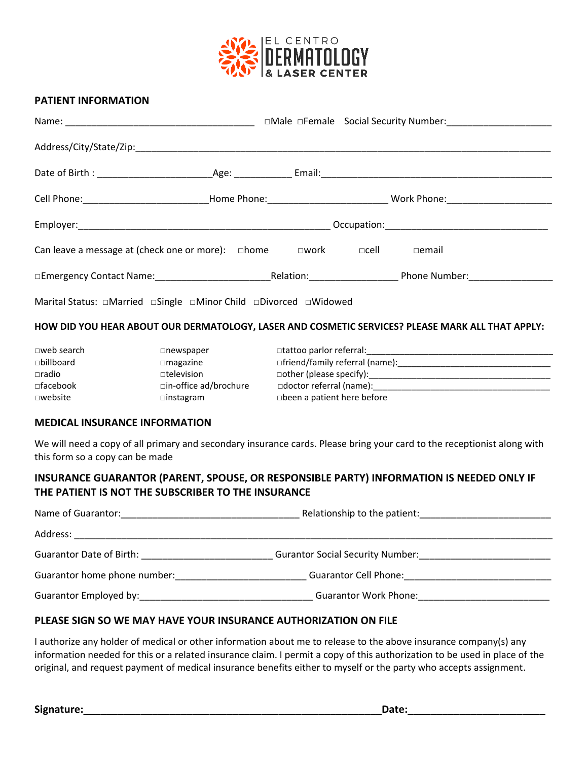

#### **PATIENT INFORMATION**

| Cell Phone:______________________________Home Phone:_____________________________ Work Phone:_________________ |  |  |  |
|----------------------------------------------------------------------------------------------------------------|--|--|--|
|                                                                                                                |  |  |  |
|                                                                                                                |  |  |  |
|                                                                                                                |  |  |  |
|                                                                                                                |  |  |  |
| HOW DID YOU HEAR ABOUT OUR DERMATOLOGY, LASER AND COSMETIC SERVICES? PLEASE MARK ALL THAT APPLY:               |  |  |  |
| $\Box$ web search $\Box$ newsnaner $\Box$ tattoo narlor referral:                                              |  |  |  |

| $\square$ web search | $\Box$ newspaper       | □tattoo parlor referral:              |
|----------------------|------------------------|---------------------------------------|
| $\square$ billboard  | $\Box$ magazine        | $\Box$ friend/family referral (name): |
| $\Box$ radio         | $\Box$ television      | $\Box$ other (please specify):        |
| $\Box$ facebook      | □in-office ad/brochure | $\Box$ doctor referral (name):        |
| $\square$ website    | $\Box$ instagram       | $\Box$ been a patient here before     |

#### **MEDICAL INSURANCE INFORMATION**

We will need a copy of all primary and secondary insurance cards. Please bring your card to the receptionist along with this form so a copy can be made

## **INSURANCE GUARANTOR (PARENT, SPOUSE, OR RESPONSIBLE PARTY) INFORMATION IS NEEDED ONLY IF THE PATIENT IS NOT THE SUBSCRIBER TO THE INSURANCE**

| Name of Guarantor:                                                                                                                                                                                                             | Relationship to the patient:                                     |  |  |  |
|--------------------------------------------------------------------------------------------------------------------------------------------------------------------------------------------------------------------------------|------------------------------------------------------------------|--|--|--|
| Address:                                                                                                                                                                                                                       |                                                                  |  |  |  |
| Guarantor Date of Birth: Superior Contractor Contractor Contractor Contractor Contractor Contractor Contractor                                                                                                                 | <b>Gurantor Social Security Number:</b> Surface Security Number: |  |  |  |
| Guarantor home phone number:                                                                                                                                                                                                   | Guarantor Cell Phone:                                            |  |  |  |
| Guarantor Employed by: Canadian Communication of the Communication of the Communication of the Communication of the Communication of the Communication of the Communication of the Communication of the Communication of the C | <b>Guarantor Work Phone:</b>                                     |  |  |  |

#### **PLEASE SIGN SO WE MAY HAVE YOUR INSURANCE AUTHORIZATION ON FILE**

I authorize any holder of medical or other information about me to release to the above insurance company(s) any information needed for this or a related insurance claim. I permit a copy of this authorization to be used in place of the original, and request payment of medical insurance benefits either to myself or the party who accepts assignment.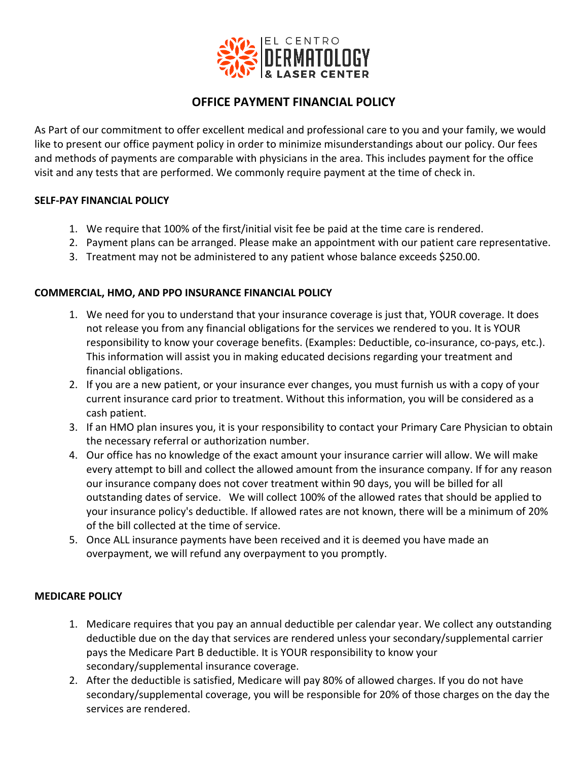

# **OFFICE PAYMENT FINANCIAL POLICY**

As Part of our commitment to offer excellent medical and professional care to you and your family, we would like to present our office payment policy in order to minimize misunderstandings about our policy. Our fees and methods of payments are comparable with physicians in the area. This includes payment for the office visit and any tests that are performed. We commonly require payment at the time of check in.

#### **SELF-PAY FINANCIAL POLICY**

- 1. We require that 100% of the first/initial visit fee be paid at the time care is rendered.
- 2. Payment plans can be arranged. Please make an appointment with our patient care representative.
- 3. Treatment may not be administered to any patient whose balance exceeds \$250.00.

#### **COMMERCIAL, HMO, AND PPO INSURANCE FINANCIAL POLICY**

- 1. We need for you to understand that your insurance coverage is just that, YOUR coverage. It does not release you from any financial obligations for the services we rendered to you. It is YOUR responsibility to know your coverage benefits. (Examples: Deductible, co-insurance, co-pays, etc.). This information will assist you in making educated decisions regarding your treatment and financial obligations.
- 2. If you are a new patient, or your insurance ever changes, you must furnish us with a copy of your current insurance card prior to treatment. Without this information, you will be considered as a cash patient.
- 3. If an HMO plan insures you, it is your responsibility to contact your Primary Care Physician to obtain the necessary referral or authorization number.
- 4. Our office has no knowledge of the exact amount your insurance carrier will allow. We will make every attempt to bill and collect the allowed amount from the insurance company. If for any reason our insurance company does not cover treatment within 90 days, you will be billed for all outstanding dates of service. We will collect 100% of the allowed rates that should be applied to your insurance policy's deductible. If allowed rates are not known, there will be a minimum of 20% of the bill collected at the time of service.
- 5. Once ALL insurance payments have been received and it is deemed you have made an overpayment, we will refund any overpayment to you promptly.

#### **MEDICARE POLICY**

- 1. Medicare requires that you pay an annual deductible per calendar year. We collect any outstanding deductible due on the day that services are rendered unless your secondary/supplemental carrier pays the Medicare Part B deductible. It is YOUR responsibility to know your secondary/supplemental insurance coverage.
- 2. After the deductible is satisfied, Medicare will pay 80% of allowed charges. If you do not have secondary/supplemental coverage, you will be responsible for 20% of those charges on the day the services are rendered.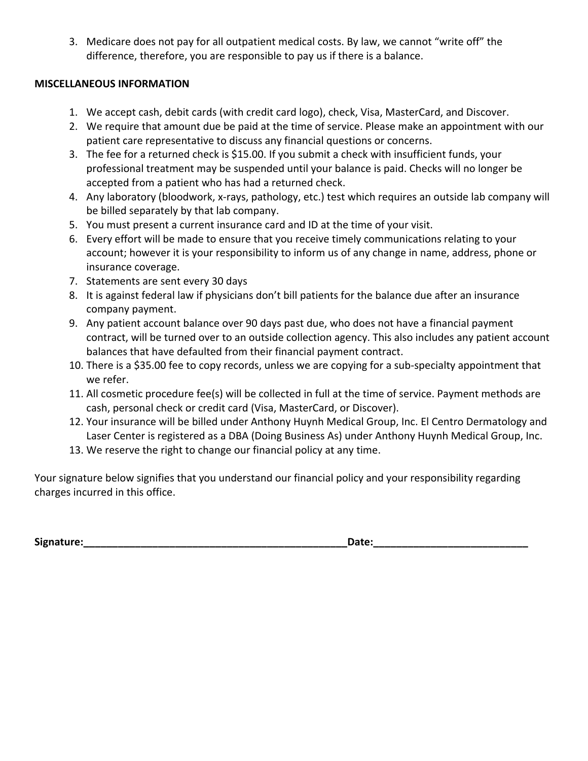3. Medicare does not pay for all outpatient medical costs. By law, we cannot "write off" the difference, therefore, you are responsible to pay us if there is a balance.

## **MISCELLANEOUS INFORMATION**

- 1. We accept cash, debit cards (with credit card logo), check, Visa, MasterCard, and Discover.
- 2. We require that amount due be paid at the time of service. Please make an appointment with our patient care representative to discuss any financial questions or concerns.
- 3. The fee for a returned check is \$15.00. If you submit a check with insufficient funds, your professional treatment may be suspended until your balance is paid. Checks will no longer be accepted from a patient who has had a returned check.
- 4. Any laboratory (bloodwork, x-rays, pathology, etc.) test which requires an outside lab company will be billed separately by that lab company.
- 5. You must present a current insurance card and ID at the time of your visit.
- 6. Every effort will be made to ensure that you receive timely communications relating to your account; however it is your responsibility to inform us of any change in name, address, phone or insurance coverage.
- 7. Statements are sent every 30 days
- 8. It is against federal law if physicians don't bill patients for the balance due after an insurance company payment.
- 9. Any patient account balance over 90 days past due, who does not have a financial payment contract, will be turned over to an outside collection agency. This also includes any patient account balances that have defaulted from their financial payment contract.
- 10. There is a \$35.00 fee to copy records, unless we are copying for a sub-specialty appointment that we refer.
- 11. All cosmetic procedure fee(s) will be collected in full at the time of service. Payment methods are cash, personal check or credit card (Visa, MasterCard, or Discover).
- 12. Your insurance will be billed under Anthony Huynh Medical Group, Inc. El Centro Dermatology and Laser Center is registered as a DBA (Doing Business As) under Anthony Huynh Medical Group, Inc.
- 13. We reserve the right to change our financial policy at any time.

Your signature below signifies that you understand our financial policy and your responsibility regarding charges incurred in this office.

**Signature:\_\_\_\_\_\_\_\_\_\_\_\_\_\_\_\_\_\_\_\_\_\_\_\_\_\_\_\_\_\_\_\_\_\_\_\_\_\_\_\_\_\_\_\_\_\_Date:\_\_\_\_\_\_\_\_\_\_\_\_\_\_\_\_\_\_\_\_\_\_\_\_\_\_\_**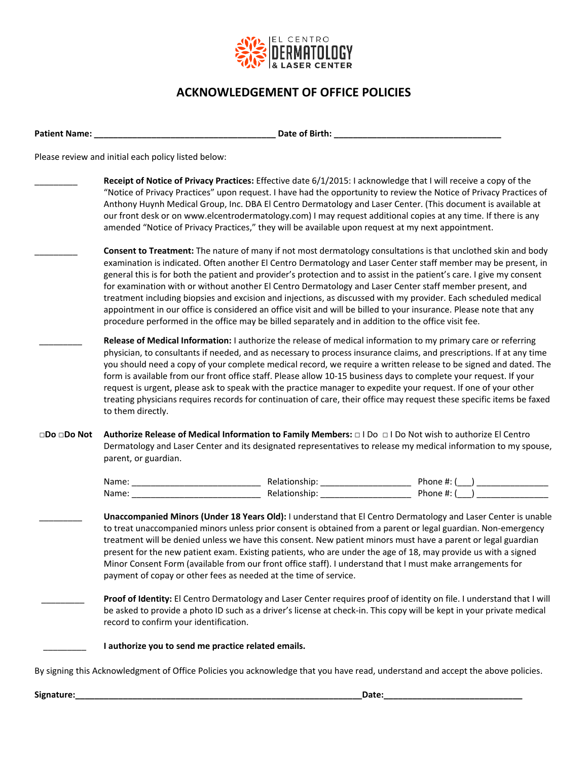

# **ACKNOWLEDGEMENT OF OFFICE POLICIES**

**Patient Name: \_\_\_\_\_\_\_\_\_\_\_\_\_\_\_\_\_\_\_\_\_\_\_\_\_\_\_\_\_\_\_\_\_\_\_\_\_\_ Date of Birth: \_\_\_\_\_\_\_\_\_\_\_\_\_\_\_\_\_\_\_\_\_\_\_\_\_\_\_\_\_\_\_\_\_\_\_**

Please review and initial each policy listed below:

|                               |                                                                                                                                                                                                                                                                | Receipt of Notice of Privacy Practices: Effective date 6/1/2015: I acknowledge that I will receive a copy of the<br>"Notice of Privacy Practices" upon request. I have had the opportunity to review the Notice of Privacy Practices of<br>Anthony Huynh Medical Group, Inc. DBA El Centro Dermatology and Laser Center. (This document is available at<br>our front desk or on www.elcentrodermatology.com) I may request additional copies at any time. If there is any<br>amended "Notice of Privacy Practices," they will be available upon request at my next appointment.                                                                                                                                                                                                                                       |  |  |  |
|-------------------------------|----------------------------------------------------------------------------------------------------------------------------------------------------------------------------------------------------------------------------------------------------------------|-----------------------------------------------------------------------------------------------------------------------------------------------------------------------------------------------------------------------------------------------------------------------------------------------------------------------------------------------------------------------------------------------------------------------------------------------------------------------------------------------------------------------------------------------------------------------------------------------------------------------------------------------------------------------------------------------------------------------------------------------------------------------------------------------------------------------|--|--|--|
|                               |                                                                                                                                                                                                                                                                | Consent to Treatment: The nature of many if not most dermatology consultations is that unclothed skin and body<br>examination is indicated. Often another El Centro Dermatology and Laser Center staff member may be present, in<br>general this is for both the patient and provider's protection and to assist in the patient's care. I give my consent<br>for examination with or without another El Centro Dermatology and Laser Center staff member present, and<br>treatment including biopsies and excision and injections, as discussed with my provider. Each scheduled medical<br>appointment in our office is considered an office visit and will be billed to your insurance. Please note that any<br>procedure performed in the office may be billed separately and in addition to the office visit fee. |  |  |  |
|                               | to them directly.                                                                                                                                                                                                                                              | Release of Medical Information: I authorize the release of medical information to my primary care or referring<br>physician, to consultants if needed, and as necessary to process insurance claims, and prescriptions. If at any time<br>you should need a copy of your complete medical record, we require a written release to be signed and dated. The<br>form is available from our front office staff. Please allow 10-15 business days to complete your request. If your<br>request is urgent, please ask to speak with the practice manager to expedite your request. If one of your other<br>treating physicians requires records for continuation of care, their office may request these specific items be faxed                                                                                           |  |  |  |
| $\square$ Do $\square$ Do Not | Authorize Release of Medical Information to Family Members: $\Box$ I Do $\Box$ I Do Not wish to authorize El Centro<br>Dermatology and Laser Center and its designated representatives to release my medical information to my spouse,<br>parent, or guardian. |                                                                                                                                                                                                                                                                                                                                                                                                                                                                                                                                                                                                                                                                                                                                                                                                                       |  |  |  |
|                               |                                                                                                                                                                                                                                                                |                                                                                                                                                                                                                                                                                                                                                                                                                                                                                                                                                                                                                                                                                                                                                                                                                       |  |  |  |
|                               |                                                                                                                                                                                                                                                                |                                                                                                                                                                                                                                                                                                                                                                                                                                                                                                                                                                                                                                                                                                                                                                                                                       |  |  |  |
|                               |                                                                                                                                                                                                                                                                | Unaccompanied Minors (Under 18 Years Old): I understand that El Centro Dermatology and Laser Center is unable<br>to treat unaccompanied minors unless prior consent is obtained from a parent or legal guardian. Non-emergency<br>treatment will be denied unless we have this consent. New patient minors must have a parent or legal guardian<br>present for the new patient exam. Existing patients, who are under the age of 18, may provide us with a signed<br>Minor Consent Form (available from our front office staff). I understand that I must make arrangements for<br>payment of copay or other fees as needed at the time of service.                                                                                                                                                                   |  |  |  |
|                               | record to confirm your identification.                                                                                                                                                                                                                         | Proof of Identity: El Centro Dermatology and Laser Center requires proof of identity on file. I understand that I will<br>be asked to provide a photo ID such as a driver's license at check-in. This copy will be kept in your private medical                                                                                                                                                                                                                                                                                                                                                                                                                                                                                                                                                                       |  |  |  |
|                               |                                                                                                                                                                                                                                                                | I authorize you to send me practice related emails.                                                                                                                                                                                                                                                                                                                                                                                                                                                                                                                                                                                                                                                                                                                                                                   |  |  |  |

By signing this Acknowledgment of Office Policies you acknowledge that you have read, understand and accept the above policies.

**Signature:\_\_\_\_\_\_\_\_\_\_\_\_\_\_\_\_\_\_\_\_\_\_\_\_\_\_\_\_\_\_\_\_\_\_\_\_\_\_\_\_\_\_\_\_\_\_\_\_\_\_\_\_\_\_\_\_\_\_\_\_Date:\_\_\_\_\_\_\_\_\_\_\_\_\_\_\_\_\_\_\_\_\_\_\_\_\_\_\_\_\_**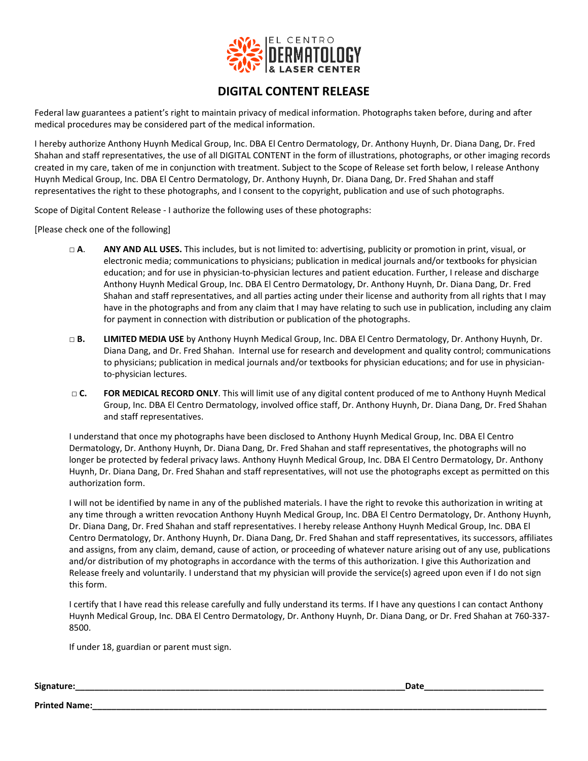

## **DIGITAL CONTENT RELEASE**

Federal law guarantees a patient's right to maintain privacy of medical information. Photographs taken before, during and after medical procedures may be considered part of the medical information.

I hereby authorize Anthony Huynh Medical Group, Inc. DBA El Centro Dermatology, Dr. Anthony Huynh, Dr. Diana Dang, Dr. Fred Shahan and staff representatives, the use of all DIGITAL CONTENT in the form of illustrations, photographs, or other imaging records created in my care, taken of me in conjunction with treatment. Subject to the Scope of Release set forth below, I release Anthony Huynh Medical Group, Inc. DBA El Centro Dermatology, Dr. Anthony Huynh, Dr. Diana Dang, Dr. Fred Shahan and staff representatives the right to these photographs, and I consent to the copyright, publication and use of such photographs.

Scope of Digital Content Release - I authorize the following uses of these photographs:

[Please check one of the following]

- **□ A**. **ANY AND ALL USES.** This includes, but is not limited to: advertising, publicity or promotion in print, visual, or electronic media; communications to physicians; publication in medical journals and/or textbooks for physician education; and for use in physician-to-physician lectures and patient education. Further, I release and discharge Anthony Huynh Medical Group, Inc. DBA El Centro Dermatology, Dr. Anthony Huynh, Dr. Diana Dang, Dr. Fred Shahan and staff representatives, and all parties acting under their license and authority from all rights that I may have in the photographs and from any claim that I may have relating to such use in publication, including any claim for payment in connection with distribution or publication of the photographs.
- **□ B. LIMITED MEDIA USE** by Anthony Huynh Medical Group, Inc. DBA El Centro Dermatology, Dr. Anthony Huynh, Dr. Diana Dang, and Dr. Fred Shahan. Internal use for research and development and quality control; communications to physicians; publication in medical journals and/or textbooks for physician educations; and for use in physicianto-physician lectures.
- **□ C. FOR MEDICAL RECORD ONLY**. This will limit use of any digital content produced of me to Anthony Huynh Medical Group, Inc. DBA El Centro Dermatology, involved office staff, Dr. Anthony Huynh, Dr. Diana Dang, Dr. Fred Shahan and staff representatives.

I understand that once my photographs have been disclosed to Anthony Huynh Medical Group, Inc. DBA El Centro Dermatology, Dr. Anthony Huynh, Dr. Diana Dang, Dr. Fred Shahan and staff representatives, the photographs will no longer be protected by federal privacy laws. Anthony Huynh Medical Group, Inc. DBA El Centro Dermatology, Dr. Anthony Huynh, Dr. Diana Dang, Dr. Fred Shahan and staff representatives, will not use the photographs except as permitted on this authorization form.

I will not be identified by name in any of the published materials. I have the right to revoke this authorization in writing at any time through a written revocation Anthony Huynh Medical Group, Inc. DBA El Centro Dermatology, Dr. Anthony Huynh, Dr. Diana Dang, Dr. Fred Shahan and staff representatives. I hereby release Anthony Huynh Medical Group, Inc. DBA El Centro Dermatology, Dr. Anthony Huynh, Dr. Diana Dang, Dr. Fred Shahan and staff representatives, its successors, affiliates and assigns, from any claim, demand, cause of action, or proceeding of whatever nature arising out of any use, publications and/or distribution of my photographs in accordance with the terms of this authorization. I give this Authorization and Release freely and voluntarily. I understand that my physician will provide the service(s) agreed upon even if I do not sign this form.

I certify that I have read this release carefully and fully understand its terms. If I have any questions I can contact Anthony Huynh Medical Group, Inc. DBA El Centro Dermatology, Dr. Anthony Huynh, Dr. Diana Dang, or Dr. Fred Shahan at 760-337- 8500.

If under 18, guardian or parent must sign.

**Signature:\_\_\_\_\_\_\_\_\_\_\_\_\_\_\_\_\_\_\_\_\_\_\_\_\_\_\_\_\_\_\_\_\_\_\_\_\_\_\_\_\_\_\_\_\_\_\_\_\_\_\_\_\_\_\_\_\_\_\_\_\_\_\_\_\_\_\_\_\_Date\_\_\_\_\_\_\_\_\_\_\_\_\_\_\_\_\_\_\_\_\_\_\_\_\_**

**Printed Name:**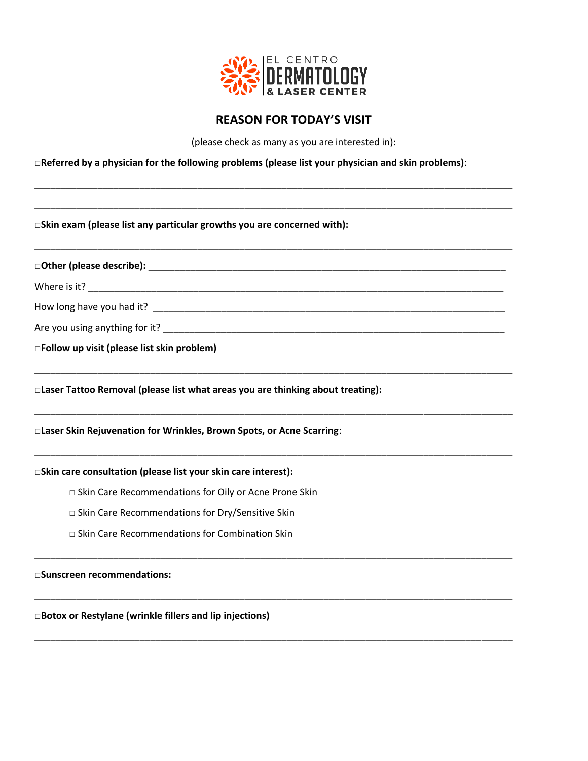

## **REASON FOR TODAY'S VISIT**

(please check as many as you are interested in):

**□Referred by a physician for the following problems (please list your physician and skin problems)**:

\_\_\_\_\_\_\_\_\_\_\_\_\_\_\_\_\_\_\_\_\_\_\_\_\_\_\_\_\_\_\_\_\_\_\_\_\_\_\_\_\_\_\_\_\_\_\_\_\_\_\_\_\_\_\_\_\_\_\_\_\_\_\_\_\_\_\_\_\_\_\_\_\_\_\_\_\_\_\_\_\_\_\_\_\_\_\_\_\_\_\_

\_\_\_\_\_\_\_\_\_\_\_\_\_\_\_\_\_\_\_\_\_\_\_\_\_\_\_\_\_\_\_\_\_\_\_\_\_\_\_\_\_\_\_\_\_\_\_\_\_\_\_\_\_\_\_\_\_\_\_\_\_\_\_\_\_\_\_\_\_\_\_\_\_\_\_\_\_\_\_\_\_\_\_\_\_\_\_\_\_\_\_

\_\_\_\_\_\_\_\_\_\_\_\_\_\_\_\_\_\_\_\_\_\_\_\_\_\_\_\_\_\_\_\_\_\_\_\_\_\_\_\_\_\_\_\_\_\_\_\_\_\_\_\_\_\_\_\_\_\_\_\_\_\_\_\_\_\_\_\_\_\_\_\_\_\_\_\_\_\_\_\_\_\_\_\_\_\_\_\_\_\_\_

\_\_\_\_\_\_\_\_\_\_\_\_\_\_\_\_\_\_\_\_\_\_\_\_\_\_\_\_\_\_\_\_\_\_\_\_\_\_\_\_\_\_\_\_\_\_\_\_\_\_\_\_\_\_\_\_\_\_\_\_\_\_\_\_\_\_\_\_\_\_\_\_\_\_\_\_\_\_\_\_\_\_\_\_\_\_\_\_\_\_\_

\_\_\_\_\_\_\_\_\_\_\_\_\_\_\_\_\_\_\_\_\_\_\_\_\_\_\_\_\_\_\_\_\_\_\_\_\_\_\_\_\_\_\_\_\_\_\_\_\_\_\_\_\_\_\_\_\_\_\_\_\_\_\_\_\_\_\_\_\_\_\_\_\_\_\_\_\_\_\_\_\_\_\_\_\_\_\_\_\_\_\_

\_\_\_\_\_\_\_\_\_\_\_\_\_\_\_\_\_\_\_\_\_\_\_\_\_\_\_\_\_\_\_\_\_\_\_\_\_\_\_\_\_\_\_\_\_\_\_\_\_\_\_\_\_\_\_\_\_\_\_\_\_\_\_\_\_\_\_\_\_\_\_\_\_\_\_\_\_\_\_\_\_\_\_\_\_\_\_\_\_\_\_

\_\_\_\_\_\_\_\_\_\_\_\_\_\_\_\_\_\_\_\_\_\_\_\_\_\_\_\_\_\_\_\_\_\_\_\_\_\_\_\_\_\_\_\_\_\_\_\_\_\_\_\_\_\_\_\_\_\_\_\_\_\_\_\_\_\_\_\_\_\_\_\_\_\_\_\_\_\_\_\_\_\_\_\_\_\_\_\_\_\_\_

\_\_\_\_\_\_\_\_\_\_\_\_\_\_\_\_\_\_\_\_\_\_\_\_\_\_\_\_\_\_\_\_\_\_\_\_\_\_\_\_\_\_\_\_\_\_\_\_\_\_\_\_\_\_\_\_\_\_\_\_\_\_\_\_\_\_\_\_\_\_\_\_\_\_\_\_\_\_\_\_\_\_\_\_\_\_\_\_\_\_\_

\_\_\_\_\_\_\_\_\_\_\_\_\_\_\_\_\_\_\_\_\_\_\_\_\_\_\_\_\_\_\_\_\_\_\_\_\_\_\_\_\_\_\_\_\_\_\_\_\_\_\_\_\_\_\_\_\_\_\_\_\_\_\_\_\_\_\_\_\_\_\_\_\_\_\_\_\_\_\_\_\_\_\_\_\_\_\_\_\_\_\_

□**Skin exam (please list any particular growths you are concerned with):**

**□Other (please describe):** \_\_\_\_\_\_\_\_\_\_\_\_\_\_\_\_\_\_\_\_\_\_\_\_\_\_\_\_\_\_\_\_\_\_\_\_\_\_\_\_\_\_\_\_\_\_\_\_\_\_\_\_\_\_\_\_\_\_\_\_\_\_\_\_\_\_\_\_

Where is it? \_\_\_\_\_\_\_\_\_\_\_\_\_\_\_\_\_\_\_\_\_\_\_\_\_\_\_\_\_\_\_\_\_\_\_\_\_\_\_\_\_\_\_\_\_\_\_\_\_\_\_\_\_\_\_\_\_\_\_\_\_\_\_\_\_\_\_\_\_\_\_\_\_\_\_\_\_\_\_

How long have you had it? \_\_\_\_\_\_\_\_\_\_\_\_\_\_\_\_\_\_\_\_\_\_\_\_\_\_\_\_\_\_\_\_\_\_\_\_\_\_\_\_\_\_\_\_\_\_\_\_\_\_\_\_\_\_\_\_\_\_\_\_\_\_\_\_\_\_\_

Are you using anything for it? \_\_\_\_\_\_\_\_\_\_\_\_\_\_\_\_\_\_\_\_\_\_\_\_\_\_\_\_\_\_\_\_\_\_\_\_\_\_\_\_\_\_\_\_\_\_\_\_\_\_\_\_\_\_\_\_\_\_\_\_\_\_\_\_\_

**□Follow up visit (please list skin problem)**

□**Laser Tattoo Removal (please list what areas you are thinking about treating):**

#### □**Laser Skin Rejuvenation for Wrinkles, Brown Spots, or Acne Scarring**:

□**Skin care consultation (please list your skin care interest):**

- □ Skin Care Recommendations for Oily or Acne Prone Skin
- □ Skin Care Recommendations for Dry/Sensitive Skin
- □ Skin Care Recommendations for Combination Skin

□**Sunscreen recommendations:**

□**Botox or Restylane (wrinkle fillers and lip injections)**